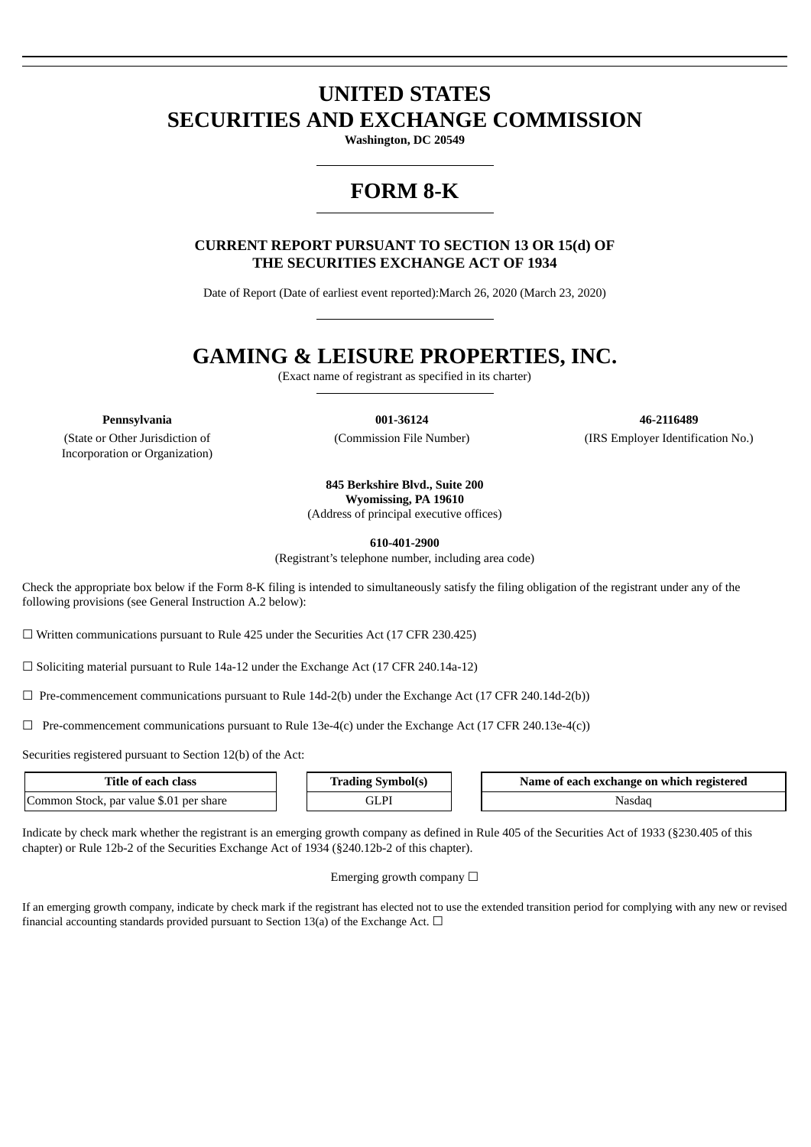# **UNITED STATES SECURITIES AND EXCHANGE COMMISSION**

**Washington, DC 20549**

## **FORM 8-K**

**CURRENT REPORT PURSUANT TO SECTION 13 OR 15(d) OF THE SECURITIES EXCHANGE ACT OF 1934**

Date of Report (Date of earliest event reported):March 26, 2020 (March 23, 2020)

## **GAMING & LEISURE PROPERTIES, INC.**

(Exact name of registrant as specified in its charter)

(State or Other Jurisdiction of Incorporation or Organization)

**Pennsylvania 001-36124 46-2116489** (Commission File Number) (IRS Employer Identification No.)

**845 Berkshire Blvd., Suite 200**

**Wyomissing, PA 19610**

(Address of principal executive offices)

**610-401-2900**

(Registrant's telephone number, including area code)

Check the appropriate box below if the Form 8-K filing is intended to simultaneously satisfy the filing obligation of the registrant under any of the following provisions (see General Instruction A.2 below):

☐ Written communications pursuant to Rule 425 under the Securities Act (17 CFR 230.425)

☐ Soliciting material pursuant to Rule 14a-12 under the Exchange Act (17 CFR 240.14a-12)

 $\Box$  Pre-commencement communications pursuant to Rule 14d-2(b) under the Exchange Act (17 CFR 240.14d-2(b))

 $\Box$  Pre-commencement communications pursuant to Rule 13e-4(c) under the Exchange Act (17 CFR 240.13e-4(c))

Securities registered pursuant to Section 12(b) of the Act:

| Title of each<br>class                       | Symbolls       | registered<br>Name of each exchange on which i |
|----------------------------------------------|----------------|------------------------------------------------|
| , par value \$.01 per share<br>Common Stock. | וח<br>. لمىللە | Nasdad                                         |

Indicate by check mark whether the registrant is an emerging growth company as defined in Rule 405 of the Securities Act of 1933 (§230.405 of this chapter) or Rule 12b-2 of the Securities Exchange Act of 1934 (§240.12b-2 of this chapter).

#### Emerging growth company  $\Box$

If an emerging growth company, indicate by check mark if the registrant has elected not to use the extended transition period for complying with any new or revised financial accounting standards provided pursuant to Section 13(a) of the Exchange Act.  $\Box$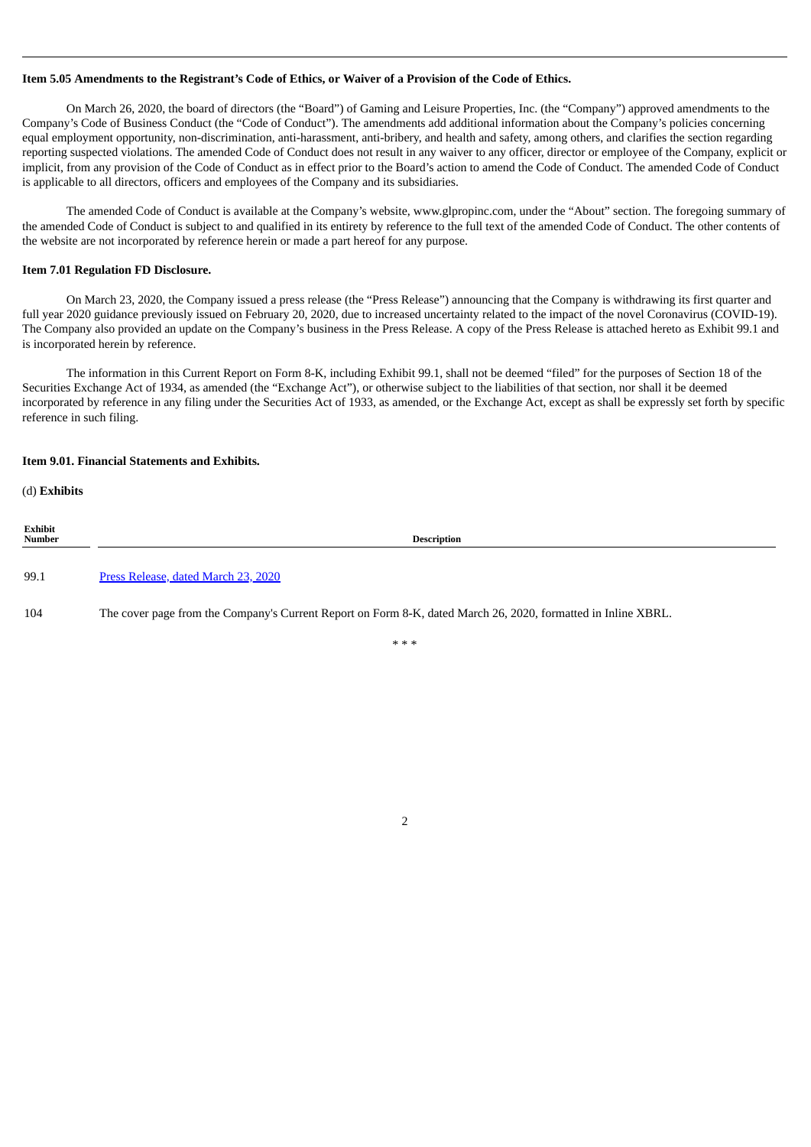#### Item 5.05 Amendments to the Registrant's Code of Ethics, or Waiver of a Provision of the Code of Ethics.

On March 26, 2020, the board of directors (the "Board") of Gaming and Leisure Properties, Inc. (the "Company") approved amendments to the Company's Code of Business Conduct (the "Code of Conduct"). The amendments add additional information about the Company's policies concerning equal employment opportunity, non-discrimination, anti-harassment, anti-bribery, and health and safety, among others, and clarifies the section regarding reporting suspected violations. The amended Code of Conduct does not result in any waiver to any officer, director or employee of the Company, explicit or implicit, from any provision of the Code of Conduct as in effect prior to the Board's action to amend the Code of Conduct. The amended Code of Conduct is applicable to all directors, officers and employees of the Company and its subsidiaries.

The amended Code of Conduct is available at the Company's website, www.glpropinc.com, under the "About" section. The foregoing summary of the amended Code of Conduct is subject to and qualified in its entirety by reference to the full text of the amended Code of Conduct. The other contents of the website are not incorporated by reference herein or made a part hereof for any purpose.

#### **Item 7.01 Regulation FD Disclosure.**

On March 23, 2020, the Company issued a press release (the "Press Release") announcing that the Company is withdrawing its first quarter and full year 2020 guidance previously issued on February 20, 2020, due to increased uncertainty related to the impact of the novel Coronavirus (COVID-19). The Company also provided an update on the Company's business in the Press Release. A copy of the Press Release is attached hereto as Exhibit 99.1 and is incorporated herein by reference.

The information in this Current Report on Form 8-K, including Exhibit 99.1, shall not be deemed "filed" for the purposes of Section 18 of the Securities Exchange Act of 1934, as amended (the "Exchange Act"), or otherwise subject to the liabilities of that section, nor shall it be deemed incorporated by reference in any filing under the Securities Act of 1933, as amended, or the Exchange Act, except as shall be expressly set forth by specific reference in such filing.

#### **Item 9.01. Financial Statements and Exhibits.**

(d) **Exhibits**

| Exhibit<br>Number | Description                                                                                                   |
|-------------------|---------------------------------------------------------------------------------------------------------------|
| 99.1              | Press Release, dated March 23, 2020                                                                           |
| 104               | The cover page from the Company's Current Report on Form 8-K, dated March 26, 2020, formatted in Inline XBRL. |

\* \* \*

2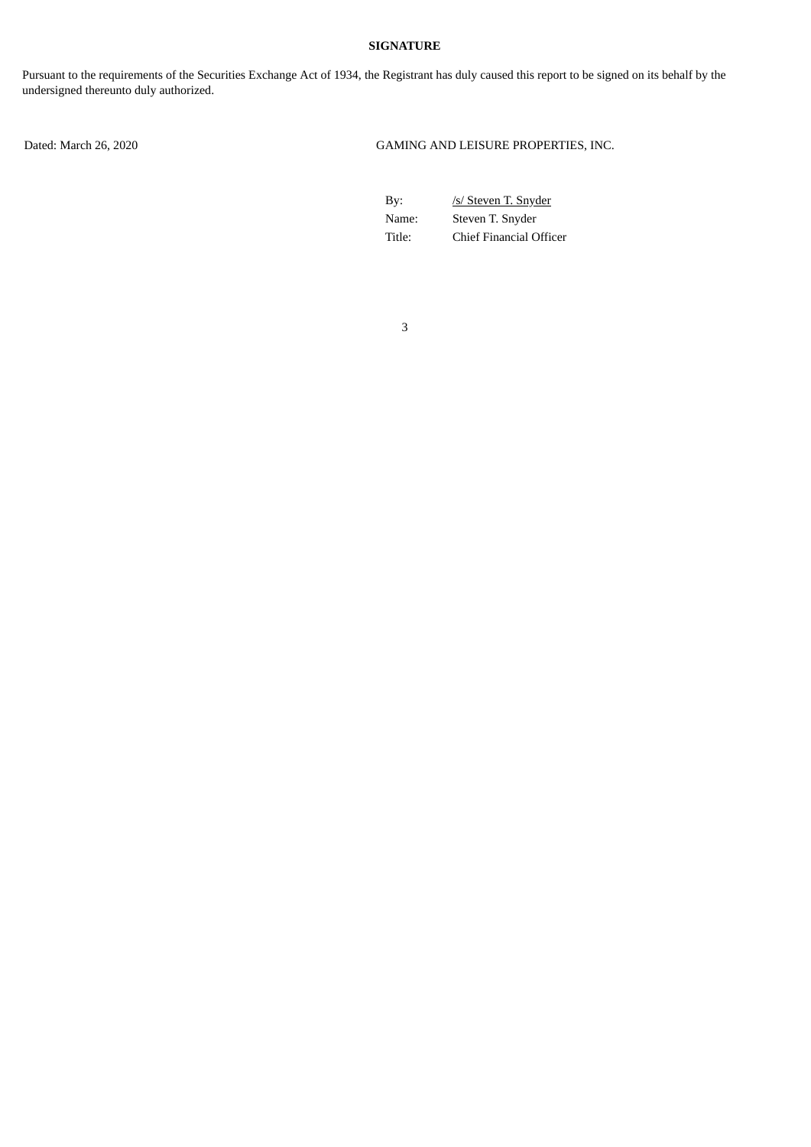## **SIGNATURE**

Pursuant to the requirements of the Securities Exchange Act of 1934, the Registrant has duly caused this report to be signed on its behalf by the undersigned thereunto duly authorized.

Dated: March 26, 2020 GAMING AND LEISURE PROPERTIES, INC.

By: /s/ Steven T. Snyder Name: Steven T. Snyder Title: Chief Financial Officer

3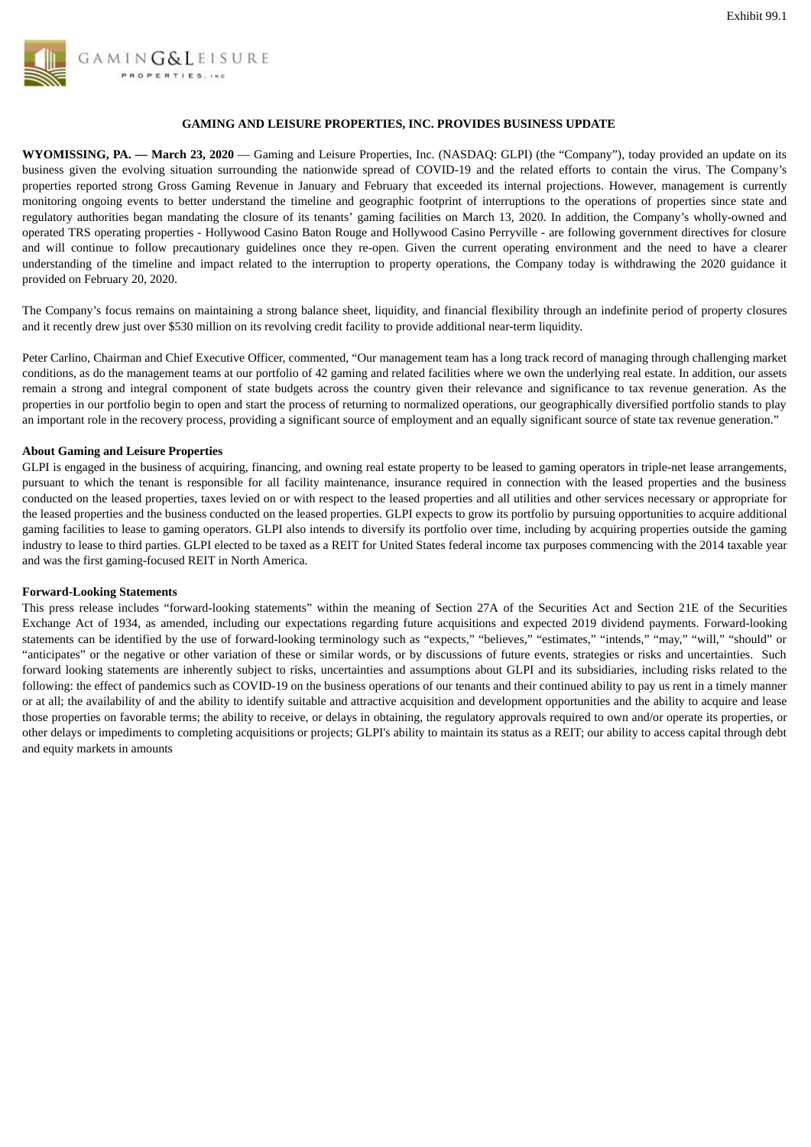<span id="page-3-0"></span>

## **GAMING AND LEISURE PROPERTIES, INC. PROVIDES BUSINESS UPDATE**

**WYOMISSING, PA. — March 23, 2020** — Gaming and Leisure Properties, Inc. (NASDAQ: GLPI) (the "Company"), today provided an update on its business given the evolving situation surrounding the nationwide spread of COVID-19 and the related efforts to contain the virus. The Company's properties reported strong Gross Gaming Revenue in January and February that exceeded its internal projections. However, management is currently monitoring ongoing events to better understand the timeline and geographic footprint of interruptions to the operations of properties since state and regulatory authorities began mandating the closure of its tenants' gaming facilities on March 13, 2020. In addition, the Company's wholly-owned and operated TRS operating properties - Hollywood Casino Baton Rouge and Hollywood Casino Perryville - are following government directives for closure and will continue to follow precautionary guidelines once they re-open. Given the current operating environment and the need to have a clearer understanding of the timeline and impact related to the interruption to property operations, the Company today is withdrawing the 2020 guidance it provided on February 20, 2020.

The Company's focus remains on maintaining a strong balance sheet, liquidity, and financial flexibility through an indefinite period of property closures and it recently drew just over \$530 million on its revolving credit facility to provide additional near-term liquidity.

Peter Carlino, Chairman and Chief Executive Officer, commented, "Our management team has a long track record of managing through challenging market conditions, as do the management teams at our portfolio of 42 gaming and related facilities where we own the underlying real estate. In addition, our assets remain a strong and integral component of state budgets across the country given their relevance and significance to tax revenue generation. As the properties in our portfolio begin to open and start the process of returning to normalized operations, our geographically diversified portfolio stands to play an important role in the recovery process, providing a significant source of employment and an equally significant source of state tax revenue generation."

### **About Gaming and Leisure Properties**

GLPI is engaged in the business of acquiring, financing, and owning real estate property to be leased to gaming operators in triple-net lease arrangements, pursuant to which the tenant is responsible for all facility maintenance, insurance required in connection with the leased properties and the business conducted on the leased properties, taxes levied on or with respect to the leased properties and all utilities and other services necessary or appropriate for the leased properties and the business conducted on the leased properties. GLPI expects to grow its portfolio by pursuing opportunities to acquire additional gaming facilities to lease to gaming operators. GLPI also intends to diversify its portfolio over time, including by acquiring properties outside the gaming industry to lease to third parties. GLPI elected to be taxed as a REIT for United States federal income tax purposes commencing with the 2014 taxable year and was the first gaming-focused REIT in North America.

#### **Forward-Looking Statements**

This press release includes "forward-looking statements" within the meaning of Section 27A of the Securities Act and Section 21E of the Securities Exchange Act of 1934, as amended, including our expectations regarding future acquisitions and expected 2019 dividend payments. Forward-looking statements can be identified by the use of forward-looking terminology such as "expects," "believes," "estimates," "intends," "may," "will," "should" or "anticipates" or the negative or other variation of these or similar words, or by discussions of future events, strategies or risks and uncertainties. Such forward looking statements are inherently subject to risks, uncertainties and assumptions about GLPI and its subsidiaries, including risks related to the following: the effect of pandemics such as COVID-19 on the business operations of our tenants and their continued ability to pay us rent in a timely manner or at all; the availability of and the ability to identify suitable and attractive acquisition and development opportunities and the ability to acquire and lease those properties on favorable terms; the ability to receive, or delays in obtaining, the regulatory approvals required to own and/or operate its properties, or other delays or impediments to completing acquisitions or projects; GLPI's ability to maintain its status as a REIT; our ability to access capital through debt and equity markets in amounts